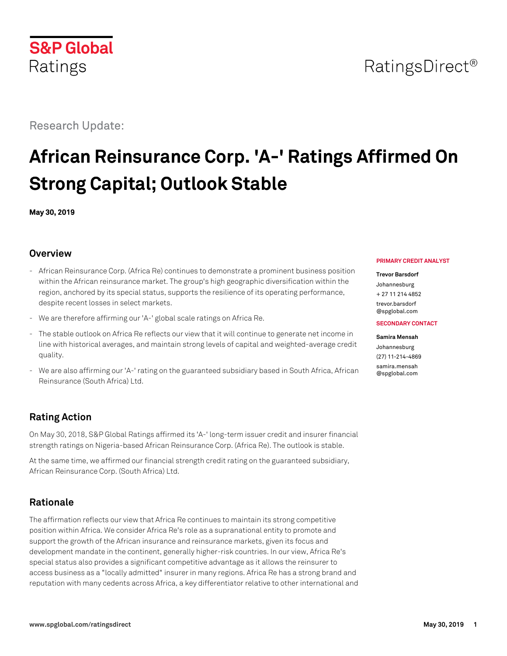# RatingsDirect<sup>®</sup>

Research Update:

# **African Reinsurance Corp. 'A-' Ratings Affirmed On Strong Capital; Outlook Stable**

**May 30, 2019**

## **Overview**

- African Reinsurance Corp. (Africa Re) continues to demonstrate a prominent business position within the African reinsurance market. The group's high geographic diversification within the region, anchored by its special status, supports the resilience of its operating performance, despite recent losses in select markets.
- We are therefore affirming our 'A-' global scale ratings on Africa Re.
- The stable outlook on Africa Re reflects our view that it will continue to generate net income in line with historical averages, and maintain strong levels of capital and weighted-average credit quality.
- We are also affirming our 'A-' rating on the guaranteed subsidiary based in South Africa, African Reinsurance (South Africa) Ltd.

## **Rating Action**

On May 30, 2018, S&P Global Ratings affirmed its 'A-' long-term issuer credit and insurer financial strength ratings on Nigeria-based African Reinsurance Corp. (Africa Re). The outlook is stable.

At the same time, we affirmed our financial strength credit rating on the guaranteed subsidiary, African Reinsurance Corp. (South Africa) Ltd.

## **Rationale**

The affirmation reflects our view that Africa Re continues to maintain its strong competitive position within Africa. We consider Africa Re's role as a supranational entity to promote and support the growth of the African insurance and reinsurance markets, given its focus and development mandate in the continent, generally higher-risk countries. In our view, Africa Re's special status also provides a significant competitive advantage as it allows the reinsurer to access business as a "locally admitted" insurer in many regions. Africa Re has a strong brand and reputation with many cedents across Africa, a key differentiator relative to other international and

#### **PRIMARY CREDIT ANALYST**

#### **Trevor Barsdorf**

Johannesburg + 27 11 214 4852 [trevor.barsdorf](mailto:trevor.barsdorf@spglobal.com)

[@spglobal.com](mailto:trevor.barsdorf@spglobal.com)

#### **SECONDARY CONTACT**

#### **Samira Mensah** Johannesburg (27) 11-214-4869 [samira.mensah](mailto:samira.mensah@spglobal.com) [@spglobal.com](mailto:samira.mensah@spglobal.com)

**S&P Global** Ratings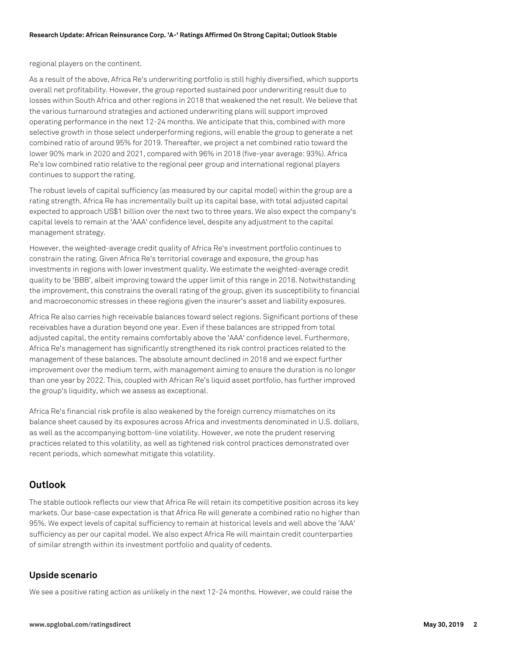regional players on the continent.

As a result of the above, Africa Re's underwriting portfolio is still highly diversified, which supports overall net profitability. However, the group reported sustained poor underwriting result due to losses within South Africa and other regions in 2018 that weakened the net result. We believe that the various turnaround strategies and actioned underwriting plans will support improved operating performance in the next 12-24 months. We anticipate that this, combined with more selective growth in those select underperforming regions, will enable the group to generate a net combined ratio of around 95% for 2019. Thereafter, we project a net combined ratio toward the lower 90% mark in 2020 and 2021, compared with 96% in 2018 (five-year average: 93%). Africa Re's low combined ratio relative to the regional peer group and international regional players continues to support the rating.

The robust levels of capital sufficiency (as measured by our capital model) within the group are a rating strength. Africa Re has incrementally built up its capital base, with total adjusted capital expected to approach US\$1 billion over the next two to three years. We also expect the company's capital levels to remain at the 'AAA' confidence level, despite any adjustment to the capital management strategy.

However, the weighted-average credit quality of Africa Re's investment portfolio continues to constrain the rating. Given Africa Re's territorial coverage and exposure, the group has investments in regions with lower investment quality. We estimate the weighted-average credit quality to be 'BBB', albeit improving toward the upper limit of this range in 2018. Notwithstanding the improvement, this constrains the overall rating of the group, given its susceptibility to financial and macroeconomic stresses in these regions given the insurer's asset and liability exposures.

Africa Re also carries high receivable balances toward select regions. Significant portions of these receivables have a duration beyond one year. Even if these balances are stripped from total adjusted capital, the entity remains comfortably above the 'AAA' confidence level. Furthermore, Africa Re's management has significantly strengthened its risk control practices related to the management of these balances. The absolute amount declined in 2018 and we expect further improvement over the medium term, with management aiming to ensure the duration is no longer than one year by 2022. This, coupled with African Re's liquid asset portfolio, has further improved the group's liquidity, which we assess as exceptional.

Africa Re's financial risk profile is also weakened by the foreign currency mismatches on its balance sheet caused by its exposures across Africa and investments denominated in U.S. dollars, as well as the accompanying bottom-line volatility. However, we note the prudent reserving practices related to this volatility, as well as tightened risk control practices demonstrated over recent periods, which somewhat mitigate this volatility.

## **Outlook**

The stable outlook reflects our view that Africa Re will retain its competitive position across its key markets. Our base-case expectation is that Africa Re will generate a combined ratio no higher than 95%. We expect levels of capital sufficiency to remain at historical levels and well above the 'AAA' sufficiency as per our capital model. We also expect Africa Re will maintain credit counterparties of similar strength within its investment portfolio and quality of cedents.

## **Upside scenario**

We see a positive rating action as unlikely in the next 12-24 months. However, we could raise the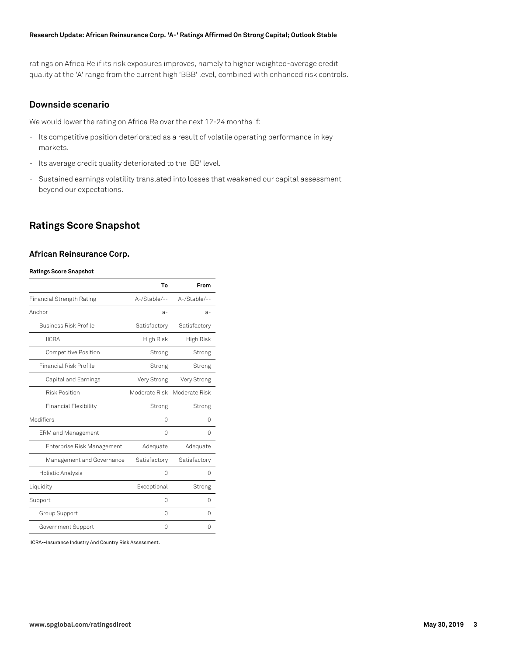#### **Research Update: African Reinsurance Corp. 'A-' Ratings Affirmed On Strong Capital; Outlook Stable**

ratings on Africa Re if its risk exposures improves, namely to higher weighted-average credit quality at the 'A' range from the current high 'BBB' level, combined with enhanced risk controls.

#### **Downside scenario**

We would lower the rating on Africa Re over the next 12-24 months if:

- Its competitive position deteriorated as a result of volatile operating performance in key markets.
- Its average credit quality deteriorated to the 'BB' level.
- Sustained earnings volatility translated into losses that weakened our capital assessment beyond our expectations.

## **Ratings Score Snapshot**

#### **African Reinsurance Corp.**

#### **Ratings Score Snapshot**

|                                  | To            | From          |
|----------------------------------|---------------|---------------|
| <b>Financial Strength Rating</b> | A-/Stable/--  | A-/Stable/--  |
| Anchor                           | $a-$          | $a-$          |
| Business Risk Profile            | Satisfactory  | Satisfactory  |
| <b>IICRA</b>                     | High Risk     | High Risk     |
| <b>Competitive Position</b>      | Strong        | Strong        |
| Financial Risk Profile           | Strong        | Strong        |
| Capital and Earnings             | Very Strong   | Very Strong   |
| <b>Risk Position</b>             | Moderate Risk | Moderate Risk |
| <b>Financial Flexibility</b>     | Strong        | Strong        |
| Modifiers                        | 0             | 0             |
| <b>ERM</b> and Management        | 0             | 0             |
| Enterprise Risk Management       | Adequate      | Adequate      |
| Management and Governance        | Satisfactory  | Satisfactory  |
| Holistic Analysis                | 0             | 0             |
| Liquidity                        | Exceptional   | Strong        |
| Support                          | 0             | 0             |
| Group Support                    | 0             | 0             |
| Government Support               | 0             | Ω             |

IICRA--Insurance Industry And Country Risk Assessment.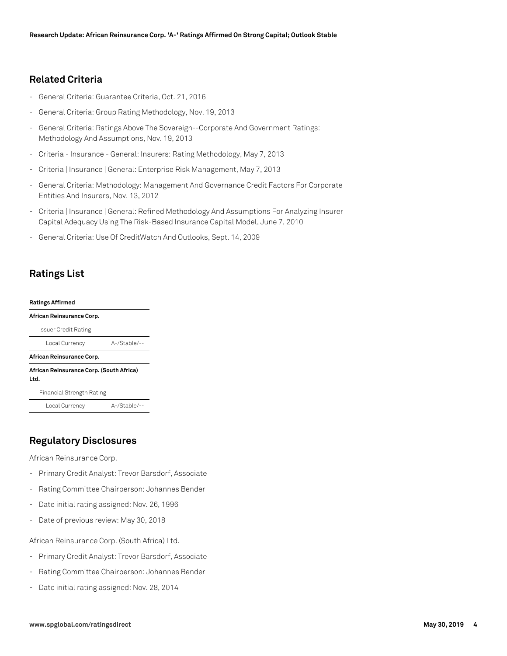## **Related Criteria**

- General Criteria: Guarantee Criteria, Oct. 21, 2016
- General Criteria: Group Rating Methodology, Nov. 19, 2013
- General Criteria: Ratings Above The Sovereign--Corporate And Government Ratings: Methodology And Assumptions, Nov. 19, 2013
- Criteria Insurance General: Insurers: Rating Methodology, May 7, 2013
- Criteria | Insurance | General: Enterprise Risk Management, May 7, 2013
- General Criteria: Methodology: Management And Governance Credit Factors For Corporate Entities And Insurers, Nov. 13, 2012
- Criteria | Insurance | General: Refined Methodology And Assumptions For Analyzing Insurer Capital Adequacy Using The Risk-Based Insurance Capital Model, June 7, 2010
- General Criteria: Use Of CreditWatch And Outlooks, Sept. 14, 2009

## **Ratings List**

#### **Ratings Affirmed**

| African Reinsurance Corp.                        |                 |  |
|--------------------------------------------------|-----------------|--|
| Issuer Credit Rating                             |                 |  |
| Local Currency                                   | $A$ -/Stable/-- |  |
| African Reinsurance Corp.                        |                 |  |
| African Reinsurance Corp. (South Africa)<br>Ltd. |                 |  |
|                                                  |                 |  |
| Financial Strength Rating                        |                 |  |

## **Regulatory Disclosures**

African Reinsurance Corp.

- Primary Credit Analyst: Trevor Barsdorf, Associate
- Rating Committee Chairperson: Johannes Bender
- Date initial rating assigned: Nov. 26, 1996
- Date of previous review: May 30, 2018

African Reinsurance Corp. (South Africa) Ltd.

- Primary Credit Analyst: Trevor Barsdorf, Associate
- Rating Committee Chairperson: Johannes Bender
- Date initial rating assigned: Nov. 28, 2014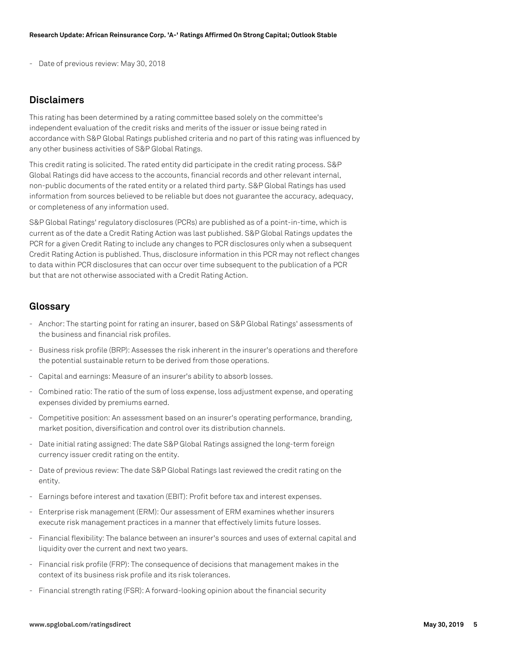Date of previous review: May 30, 2018

## **Disclaimers**

This rating has been determined by a rating committee based solely on the committee's independent evaluation of the credit risks and merits of the issuer or issue being rated in accordance with S&P Global Ratings published criteria and no part of this rating was influenced by any other business activities of S&P Global Ratings.

This credit rating is solicited. The rated entity did participate in the credit rating process. S&P Global Ratings did have access to the accounts, financial records and other relevant internal, non-public documents of the rated entity or a related third party. S&P Global Ratings has used information from sources believed to be reliable but does not guarantee the accuracy, adequacy, or completeness of any information used.

S&P Global Ratings' regulatory disclosures (PCRs) are published as of a point-in-time, which is current as of the date a Credit Rating Action was last published. S&P Global Ratings updates the PCR for a given Credit Rating to include any changes to PCR disclosures only when a subsequent Credit Rating Action is published. Thus, disclosure information in this PCR may not reflect changes to data within PCR disclosures that can occur over time subsequent to the publication of a PCR but that are not otherwise associated with a Credit Rating Action.

## **Glossary**

- Anchor: The starting point for rating an insurer, based on S&P Global Ratings' assessments of the business and financial risk profiles.
- Business risk profile (BRP): Assesses the risk inherent in the insurer's operations and therefore the potential sustainable return to be derived from those operations.
- Capital and earnings: Measure of an insurer's ability to absorb losses.
- Combined ratio: The ratio of the sum of loss expense, loss adjustment expense, and operating expenses divided by premiums earned.
- Competitive position: An assessment based on an insurer's operating performance, branding, market position, diversification and control over its distribution channels.
- Date initial rating assigned: The date S&P Global Ratings assigned the long-term foreign currency issuer credit rating on the entity.
- Date of previous review: The date S&P Global Ratings last reviewed the credit rating on the entity.
- Earnings before interest and taxation (EBIT): Profit before tax and interest expenses.
- Enterprise risk management (ERM): Our assessment of ERM examines whether insurers execute risk management practices in a manner that effectively limits future losses.
- Financial flexibility: The balance between an insurer's sources and uses of external capital and liquidity over the current and next two years.
- Financial risk profile (FRP): The consequence of decisions that management makes in the context of its business risk profile and its risk tolerances.
- Financial strength rating (FSR): A forward-looking opinion about the financial security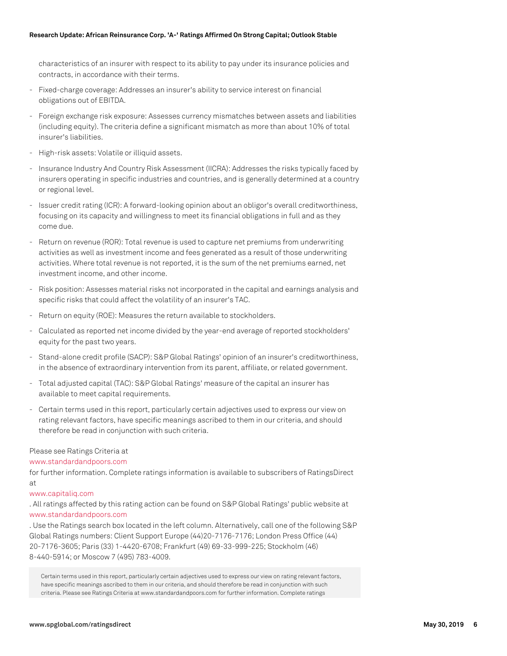characteristics of an insurer with respect to its ability to pay under its insurance policies and contracts, in accordance with their terms.

- Fixed-charge coverage: Addresses an insurer's ability to service interest on financial obligations out of EBITDA.
- Foreign exchange risk exposure: Assesses currency mismatches between assets and liabilities (including equity). The criteria define a significant mismatch as more than about 10% of total insurer's liabilities.
- High-risk assets: Volatile or illiquid assets.
- Insurance Industry And Country Risk Assessment (IICRA): Addresses the risks typically faced by insurers operating in specific industries and countries, and is generally determined at a country or regional level.
- Issuer credit rating (ICR): A forward-looking opinion about an obligor's overall creditworthiness, focusing on its capacity and willingness to meet its financial obligations in full and as they come due.
- Return on revenue (ROR): Total revenue is used to capture net premiums from underwriting activities as well as investment income and fees generated as a result of those underwriting activities. Where total revenue is not reported, it is the sum of the net premiums earned, net investment income, and other income.
- Risk position: Assesses material risks not incorporated in the capital and earnings analysis and specific risks that could affect the volatility of an insurer's TAC.
- Return on equity (ROE): Measures the return available to stockholders.
- Calculated as reported net income divided by the year-end average of reported stockholders' equity for the past two years.
- Stand-alone credit profile (SACP): S&P Global Ratings' opinion of an insurer's creditworthiness, in the absence of extraordinary intervention from its parent, affiliate, or related government.
- Total adjusted capital (TAC): S&P Global Ratings' measure of the capital an insurer has available to meet capital requirements.
- Certain terms used in this report, particularly certain adjectives used to express our view on rating relevant factors, have specific meanings ascribed to them in our criteria, and should therefore be read in conjunction with such criteria.

#### Please see Ratings Criteria at

#### [www.standardandpoors.com](http://www.standardandpoors.com)

for further information. Complete ratings information is available to subscribers of RatingsDirect at

#### [www.capitaliq.com](http://www.capitaliq.com)

. All ratings affected by this rating action can be found on S&P Global Ratings' public website at [www.standardandpoors.com](http://www.standardandpoors.com)

. Use the Ratings search box located in the left column. Alternatively, call one of the following S&P Global Ratings numbers: Client Support Europe (44)20-7176-7176; London Press Office (44) 20-7176-3605; Paris (33) 1-4420-6708; Frankfurt (49) 69-33-999-225; Stockholm (46) 8-440-5914; or Moscow 7 (495) 783-4009.

Certain terms used in this report, particularly certain adjectives used to express our view on rating relevant factors, have specific meanings ascribed to them in our criteria, and should therefore be read in conjunction with such criteria. Please see Ratings Criteria at www.standardandpoors.com for further information. Complete ratings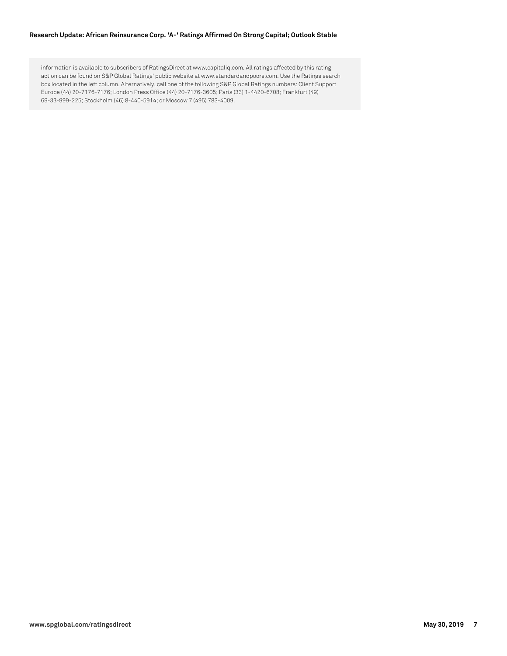#### **Research Update: African Reinsurance Corp. 'A-' Ratings Affirmed On Strong Capital; Outlook Stable**

information is available to subscribers of RatingsDirect at www.capitaliq.com. All ratings affected by this rating action can be found on S&P Global Ratings' public website at www.standardandpoors.com. Use the Ratings search box located in the left column. Alternatively, call one of the following S&P Global Ratings numbers: Client Support Europe (44) 20-7176-7176; London Press Office (44) 20-7176-3605; Paris (33) 1-4420-6708; Frankfurt (49) 69-33-999-225; Stockholm (46) 8-440-5914; or Moscow 7 (495) 783-4009.